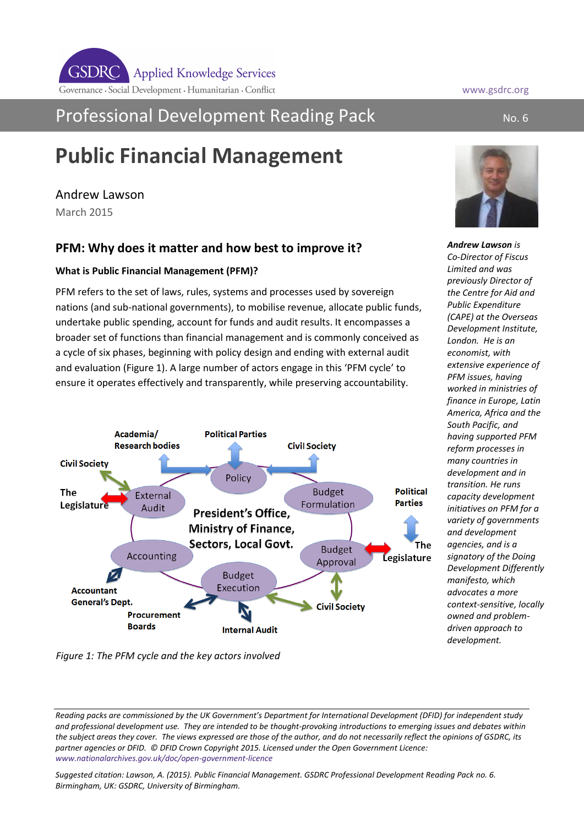## Professional Development Reading Pack No. 6 No. 6

# **Public Financial Management**

## Andrew Lawson

March 2015

## **PFM: Why does it matter and how best to improve it?**

### **What is Public Financial Management (PFM)?**

PFM refers to the set of laws, rules, systems and processes used by sovereign nations (and sub-national governments), to mobilise revenue, allocate public funds, undertake public spending, account for funds and audit results. It encompasses a broader set of functions than financial management and is commonly conceived as a cycle of six phases, beginning with policy design and ending with external audit and evaluation (Figure 1). A large number of actors engage in this 'PFM cycle' to ensure it operates effectively and transparently, while preserving accountability.



*Figure 1: The PFM cycle and the key actors involved*

*Suggested citation: Lawson, A. (2015). Public Financial Management. GSDRC Professional Development Reading Pack no. 6. Birmingham, UK: GSDRC, University of Birmingham.* 





*Andrew Lawson is Co-Director of Fiscus Limited and was previously Director of the Centre for Aid and Public Expenditure (CAPE) at the Overseas Development Institute, London. He is an economist, with extensive experience of PFM issues, having worked in ministries of finance in Europe, Latin America, Africa and the South Pacific, and having supported PFM reform processes in many countries in development and in transition. He runs capacity development initiatives on PFM for a variety of governments and development agencies, and is a signatory of the Doing Development Differently manifesto, which advocates a more context-sensitive, locally owned and problemdriven approach to development.* 

*Reading packs are commissioned by the UK Government's Department for International Development (DFID) for independent study and professional development use. They are intended to be thought-provoking introductions to emerging issues and debates within the subject areas they cover. The views expressed are those of the author, and do not necessarily reflect the opinions of GSDRC, its partner agencies or DFID. © DFID Crown Copyright 2015. Licensed under the Open Government Licence: [www.nationalarchives.gov.uk/doc/open-government-licence](http://www.nationalarchives.gov.uk/doc/open-government-licence)*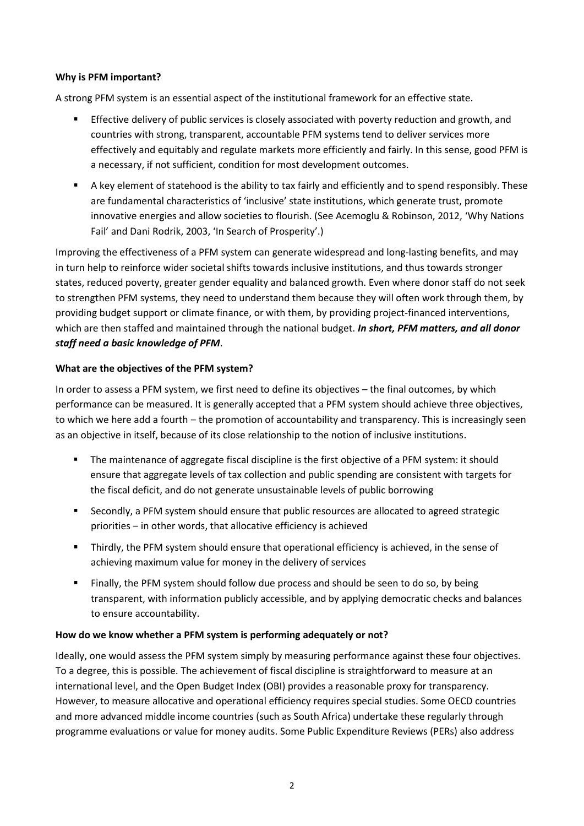#### **Why is PFM important?**

A strong PFM system is an essential aspect of the institutional framework for an effective state.

- **Effective delivery of public services is closely associated with poverty reduction and growth, and** countries with strong, transparent, accountable PFM systems tend to deliver services more effectively and equitably and regulate markets more efficiently and fairly. In this sense, good PFM is a necessary, if not sufficient, condition for most development outcomes.
- A key element of statehood is the ability to tax fairly and efficiently and to spend responsibly. These are fundamental characteristics of 'inclusive' state institutions, which generate trust, promote innovative energies and allow societies to flourish. (See Acemoglu & Robinson, 2012, 'Why Nations Fail' and Dani Rodrik, 2003, 'In Search of Prosperity'.)

Improving the effectiveness of a PFM system can generate widespread and long-lasting benefits, and may in turn help to reinforce wider societal shifts towards inclusive institutions, and thus towards stronger states, reduced poverty, greater gender equality and balanced growth. Even where donor staff do not seek to strengthen PFM systems, they need to understand them because they will often work through them, by providing budget support or climate finance, or with them, by providing project-financed interventions, which are then staffed and maintained through the national budget. *In short, PFM matters, and all donor staff need a basic knowledge of PFM*.

#### **What are the objectives of the PFM system?**

In order to assess a PFM system, we first need to define its objectives – the final outcomes, by which performance can be measured. It is generally accepted that a PFM system should achieve three objectives, to which we here add a fourth – the promotion of accountability and transparency. This is increasingly seen as an objective in itself, because of its close relationship to the notion of inclusive institutions.

- The maintenance of aggregate fiscal discipline is the first objective of a PFM system: it should ensure that aggregate levels of tax collection and public spending are consistent with targets for the fiscal deficit, and do not generate unsustainable levels of public borrowing
- Secondly, a PFM system should ensure that public resources are allocated to agreed strategic priorities - in other words, that allocative efficiency is achieved
- Thirdly, the PFM system should ensure that operational efficiency is achieved, in the sense of achieving maximum value for money in the delivery of services
- Finally, the PFM system should follow due process and should be seen to do so, by being transparent, with information publicly accessible, and by applying democratic checks and balances to ensure accountability.

#### **How do we know whether a PFM system is performing adequately or not?**

Ideally, one would assess the PFM system simply by measuring performance against these four objectives. To a degree, this is possible. The achievement of fiscal discipline is straightforward to measure at an international level, and the Open Budget Index (OBI) provides a reasonable proxy for transparency. However, to measure allocative and operational efficiency requires special studies. Some OECD countries and more advanced middle income countries (such as South Africa) undertake these regularly through programme evaluations or value for money audits. Some Public Expenditure Reviews (PERs) also address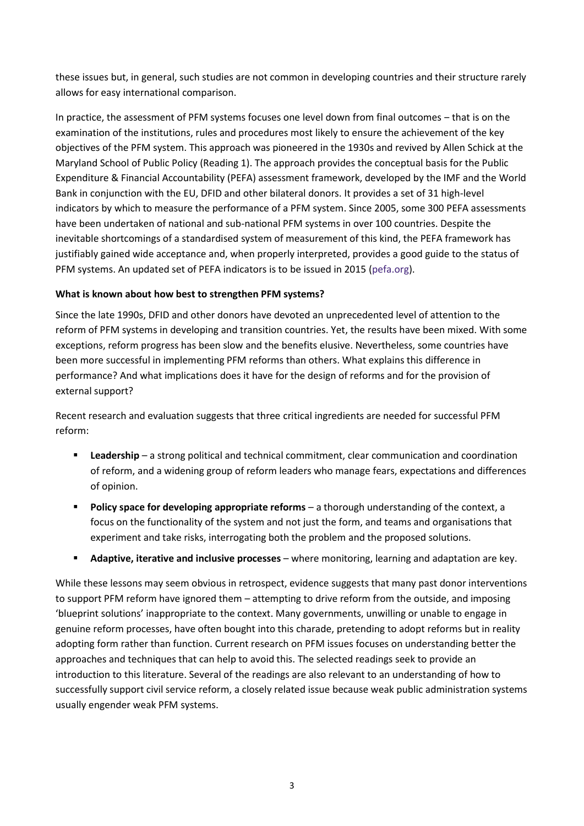these issues but, in general, such studies are not common in developing countries and their structure rarely allows for easy international comparison.

In practice, the assessment of PFM systems focuses one level down from final outcomes - that is on the examination of the institutions, rules and procedures most likely to ensure the achievement of the key objectives of the PFM system. This approach was pioneered in the 1930s and revived by Allen Schick at the Maryland School of Public Policy (Reading 1). The approach provides the conceptual basis for the Public Expenditure & Financial Accountability (PEFA) assessment framework, developed by the IMF and the World Bank in conjunction with the EU, DFID and other bilateral donors. It provides a set of 31 high-level indicators by which to measure the performance of a PFM system. Since 2005, some 300 PEFA assessments have been undertaken of national and sub-national PFM systems in over 100 countries. Despite the inevitable shortcomings of a standardised system of measurement of this kind, the PEFA framework has justifiably gained wide acceptance and, when properly interpreted, provides a good guide to the status of PFM systems. An updated set of PEFA indicators is to be issued in 2015 [\(pefa.org\)](http://www.pefa.org/).

#### **What is known about how best to strengthen PFM systems?**

Since the late 1990s, DFID and other donors have devoted an unprecedented level of attention to the reform of PFM systems in developing and transition countries. Yet, the results have been mixed. With some exceptions, reform progress has been slow and the benefits elusive. Nevertheless, some countries have been more successful in implementing PFM reforms than others. What explains this difference in performance? And what implications does it have for the design of reforms and for the provision of external support?

Recent research and evaluation suggests that three critical ingredients are needed for successful PFM reform:

- **Leadership** a strong political and technical commitment, clear communication and coordination of reform, and a widening group of reform leaders who manage fears, expectations and differences of opinion.
- **Policy space for developing appropriate reforms**  a thorough understanding of the context, a focus on the functionality of the system and not just the form, and teams and organisations that experiment and take risks, interrogating both the problem and the proposed solutions.
- **Adaptive, iterative and inclusive processes**  where monitoring, learning and adaptation are key.

While these lessons may seem obvious in retrospect, evidence suggests that many past donor interventions to support PFM reform have ignored them – attempting to drive reform from the outside, and imposing 'blueprint solutions' inappropriate to the context. Many governments, unwilling or unable to engage in genuine reform processes, have often bought into this charade, pretending to adopt reforms but in reality adopting form rather than function. Current research on PFM issues focuses on understanding better the approaches and techniques that can help to avoid this. The selected readings seek to provide an introduction to this literature. Several of the readings are also relevant to an understanding of how to successfully support civil service reform, a closely related issue because weak public administration systems usually engender weak PFM systems.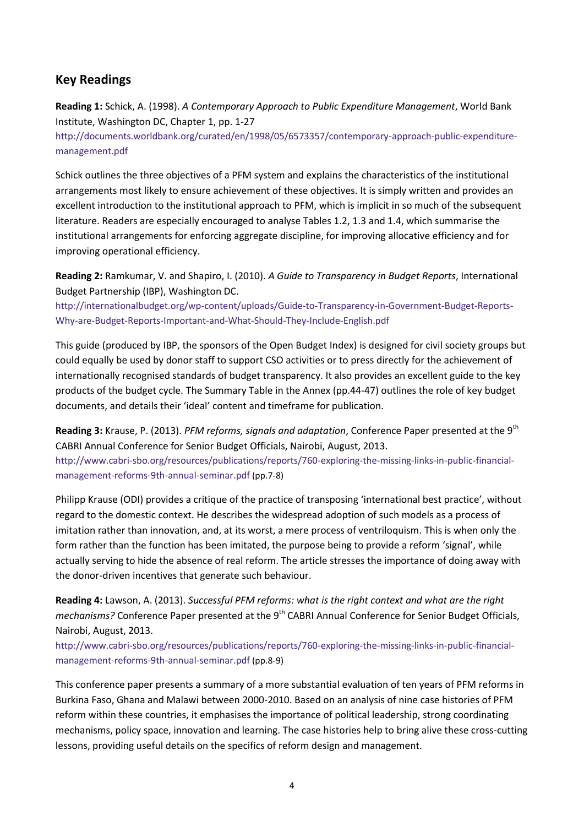## **Key Readings**

**Reading 1:** Schick, A. (1998). *A Contemporary Approach to Public Expenditure Management*, World Bank Institute, Washington DC, Chapter 1, pp. 1-27

[http://documents.worldbank.org/curated/en/1998/05/6573357/contemporary-approach-public-expenditure](http://documents.worldbank.org/curated/en/1998/05/6573357/contemporary-approach-public-expenditure-management.pdf)[management.pdf](http://documents.worldbank.org/curated/en/1998/05/6573357/contemporary-approach-public-expenditure-management.pdf)

Schick outlines the three objectives of a PFM system and explains the characteristics of the institutional arrangements most likely to ensure achievement of these objectives. It is simply written and provides an excellent introduction to the institutional approach to PFM, which is implicit in so much of the subsequent literature. Readers are especially encouraged to analyse Tables 1.2, 1.3 and 1.4, which summarise the institutional arrangements for enforcing aggregate discipline, for improving allocative efficiency and for improving operational efficiency.

**Reading 2:** Ramkumar, V. and Shapiro, I. (2010). *A Guide to Transparency in Budget Reports*, International Budget Partnership (IBP), Washington DC.

[http://internationalbudget.org/wp-content/uploads/Guide-to-Transparency-in-Government-Budget-Reports-](http://internationalbudget.org/wp-content/uploads/Guide-to-Transparency-in-Government-Budget-Reports-Why-are-Budget-Reports-Important-and-What-Should-They-Include-English.pdf)[Why-are-Budget-Reports-Important-and-What-Should-They-Include-English.pdf](http://internationalbudget.org/wp-content/uploads/Guide-to-Transparency-in-Government-Budget-Reports-Why-are-Budget-Reports-Important-and-What-Should-They-Include-English.pdf)

This guide (produced by IBP, the sponsors of the Open Budget Index) is designed for civil society groups but could equally be used by donor staff to support CSO activities or to press directly for the achievement of internationally recognised standards of budget transparency. It also provides an excellent guide to the key products of the budget cycle. The Summary Table in the Annex (pp.44-47) outlines the role of key budget documents, and details their 'ideal' content and timeframe for publication.

**Reading 3:** Krause, P. (2013). *PFM reforms, signals and adaptation*, Conference Paper presented at the 9th CABRI Annual Conference for Senior Budget Officials, Nairobi, August, 2013. [http://www.cabri-sbo.org/resources/publications/reports/760-exploring-the-missing-links-in-public-financial](http://www.cabri-sbo.org/resources/publications/reports/760-exploring-the-missing-links-in-public-financial-management-reforms-9th-annual-seminar.pdf)[management-reforms-9th-annual-seminar.pdf](http://www.cabri-sbo.org/resources/publications/reports/760-exploring-the-missing-links-in-public-financial-management-reforms-9th-annual-seminar.pdf) (pp.7-8)

Philipp Krause (ODI) provides a critique of the practice of transposing 'international best practice', without regard to the domestic context. He describes the widespread adoption of such models as a process of imitation rather than innovation, and, at its worst, a mere process of ventriloquism. This is when only the form rather than the function has been imitated, the purpose being to provide a reform 'signal', while actually serving to hide the absence of real reform. The article stresses the importance of doing away with the donor-driven incentives that generate such behaviour.

**Reading 4:** Lawson, A. (2013). *Successful PFM reforms: what is the right context and what are the right mechanisms?* Conference Paper presented at the 9<sup>th</sup> CABRI Annual Conference for Senior Budget Officials, Nairobi, August, 2013.

[http://www.cabri-sbo.org/resources/publications/reports/760-exploring-the-missing-links-in-public-financial](http://www.cabri-sbo.org/resources/publications/reports/760-exploring-the-missing-links-in-public-financial-management-reforms-9th-annual-seminar.pdf)[management-reforms-9th-annual-seminar.pdf](http://www.cabri-sbo.org/resources/publications/reports/760-exploring-the-missing-links-in-public-financial-management-reforms-9th-annual-seminar.pdf) (pp.8-9)

This conference paper presents a summary of a more substantial evaluation of ten years of PFM reforms in Burkina Faso, Ghana and Malawi between 2000-2010. Based on an analysis of nine case histories of PFM reform within these countries, it emphasises the importance of political leadership, strong coordinating mechanisms, policy space, innovation and learning. The case histories help to bring alive these cross-cutting lessons, providing useful details on the specifics of reform design and management.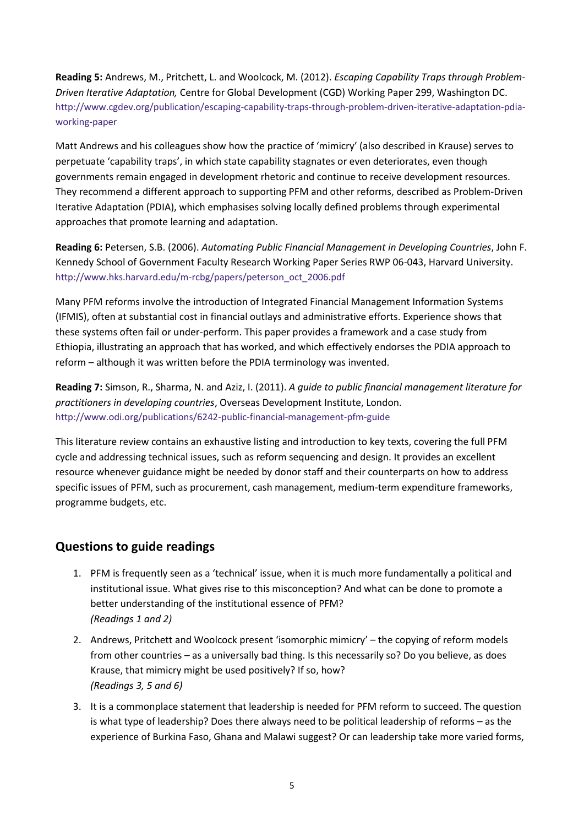**Reading 5:** Andrews, M., Pritchett, L. and Woolcock, M. (2012). *Escaping Capability Traps through Problem-Driven Iterative Adaptation,* Centre for Global Development (CGD) Working Paper 299, Washington DC. [http://www.cgdev.org/publication/escaping-capability-traps-through-problem-driven-iterative-adaptation-pdia](http://www.cgdev.org/publication/escaping-capability-traps-through-problem-driven-iterative-adaptation-pdia-working-paper)[working-paper](http://www.cgdev.org/publication/escaping-capability-traps-through-problem-driven-iterative-adaptation-pdia-working-paper)

Matt Andrews and his colleagues show how the practice of 'mimicry' (also described in Krause) serves to perpetuate 'capability traps', in which state capability stagnates or even deteriorates, even though governments remain engaged in development rhetoric and continue to receive development resources. They recommend a different approach to supporting PFM and other reforms, described as Problem-Driven Iterative Adaptation (PDIA), which emphasises solving locally defined problems through experimental approaches that promote learning and adaptation.

**Reading 6:** Petersen, S.B. (2006). *Automating Public Financial Management in Developing Countries*, John F. Kennedy School of Government Faculty Research Working Paper Series RWP 06-043, Harvard University. [http://www.hks.harvard.edu/m-rcbg/papers/peterson\\_oct\\_2006.pdf](http://www.hks.harvard.edu/m-rcbg/papers/peterson_oct_2006.pdf)

Many PFM reforms involve the introduction of Integrated Financial Management Information Systems (IFMIS), often at substantial cost in financial outlays and administrative efforts. Experience shows that these systems often fail or under-perform. This paper provides a framework and a case study from Ethiopia, illustrating an approach that has worked, and which effectively endorses the PDIA approach to reform – although it was written before the PDIA terminology was invented.

**Reading 7:** Simson, R., Sharma, N. and Aziz, I. (2011). *A guide to public financial management literature for practitioners in developing countries*, Overseas Development Institute, London. <http://www.odi.org/publications/6242-public-financial-management-pfm-guide>

This literature review contains an exhaustive listing and introduction to key texts, covering the full PFM cycle and addressing technical issues, such as reform sequencing and design. It provides an excellent resource whenever guidance might be needed by donor staff and their counterparts on how to address specific issues of PFM, such as procurement, cash management, medium-term expenditure frameworks, programme budgets, etc.

## **Questions to guide readings**

- 1. PFM is frequently seen as a 'technical' issue, when it is much more fundamentally a political and institutional issue. What gives rise to this misconception? And what can be done to promote a better understanding of the institutional essence of PFM? *(Readings 1 and 2)*
- 2. Andrews, Pritchett and Woolcock present 'isomorphic mimicry' the copying of reform models from other countries – as a universally bad thing. Is this necessarily so? Do you believe, as does Krause, that mimicry might be used positively? If so, how? *(Readings 3, 5 and 6)*
- 3. It is a commonplace statement that leadership is needed for PFM reform to succeed. The question is what type of leadership? Does there always need to be political leadership of reforms – as the experience of Burkina Faso, Ghana and Malawi suggest? Or can leadership take more varied forms,